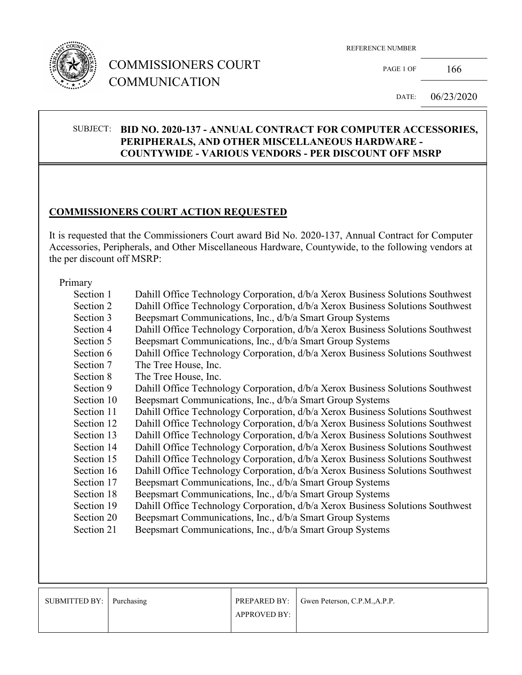

REFERENCE NUMBER

PAGE 1 OF  $166$ 

DATE: 06/23/2020

#### SUBJECT: **BID NO. 2020-137 - ANNUAL CONTRACT FOR COMPUTER ACCESSORIES, PERIPHERALS, AND OTHER MISCELLANEOUS HARDWARE - COUNTYWIDE - VARIOUS VENDORS - PER DISCOUNT OFF MSRP**

### **COMMISSIONERS COURT ACTION REQUESTED**

It is requested that the Commissioners Court award Bid No. 2020-137, Annual Contract for Computer Accessories, Peripherals, and Other Miscellaneous Hardware, Countywide, to the following vendors at the per discount off MSRP:

#### Primary

| 1 1 1111 UI 9 |                                                                                |  |  |
|---------------|--------------------------------------------------------------------------------|--|--|
| Section 1     | Dahill Office Technology Corporation, d/b/a Xerox Business Solutions Southwest |  |  |
| Section 2     | Dahill Office Technology Corporation, d/b/a Xerox Business Solutions Southwest |  |  |
| Section 3     | Beepsmart Communications, Inc., d/b/a Smart Group Systems                      |  |  |
| Section 4     | Dahill Office Technology Corporation, d/b/a Xerox Business Solutions Southwest |  |  |
| Section 5     | Beepsmart Communications, Inc., d/b/a Smart Group Systems                      |  |  |
| Section 6     | Dahill Office Technology Corporation, d/b/a Xerox Business Solutions Southwest |  |  |
| Section 7     | The Tree House, Inc.                                                           |  |  |
| Section 8     | The Tree House, Inc.                                                           |  |  |
| Section 9     | Dahill Office Technology Corporation, d/b/a Xerox Business Solutions Southwest |  |  |
| Section 10    | Beepsmart Communications, Inc., d/b/a Smart Group Systems                      |  |  |
| Section 11    | Dahill Office Technology Corporation, d/b/a Xerox Business Solutions Southwest |  |  |
| Section 12    | Dahill Office Technology Corporation, d/b/a Xerox Business Solutions Southwest |  |  |
| Section 13    | Dahill Office Technology Corporation, d/b/a Xerox Business Solutions Southwest |  |  |
| Section 14    | Dahill Office Technology Corporation, d/b/a Xerox Business Solutions Southwest |  |  |
| Section 15    | Dahill Office Technology Corporation, d/b/a Xerox Business Solutions Southwest |  |  |
| Section 16    | Dahill Office Technology Corporation, d/b/a Xerox Business Solutions Southwest |  |  |
| Section 17    | Beepsmart Communications, Inc., d/b/a Smart Group Systems                      |  |  |
| Section 18    | Beepsmart Communications, Inc., d/b/a Smart Group Systems                      |  |  |
| Section 19    | Dahill Office Technology Corporation, d/b/a Xerox Business Solutions Southwest |  |  |
| Section 20    | Beepsmart Communications, Inc., d/b/a Smart Group Systems                      |  |  |
| Section 21    | Beepsmart Communications, Inc., d/b/a Smart Group Systems                      |  |  |
|               |                                                                                |  |  |
|               |                                                                                |  |  |
|               |                                                                                |  |  |
|               |                                                                                |  |  |

| SUBMITTED BY:   Purchasing |                     | PREPARED BY:   Gwen Peterson, C.P.M., A.P.P. |
|----------------------------|---------------------|----------------------------------------------|
|                            | <b>APPROVED BY:</b> |                                              |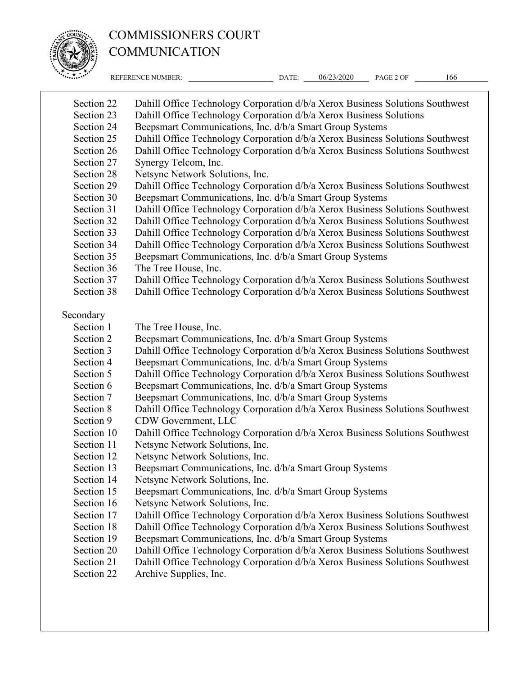

REFERENCE NUMBER: DATE: 06/23/2020 PAGE 2 OF 166 Section 22 Dahill Office Technology Corporation d/b/a Xerox Business Solutions Southwest Section 23 Dahill Office Technology Corporation d/b/a Xerox Business Solutions Section 24 Beepsmart Communications, Inc. d/b/a Smart Group Systems Section 25 Dahill Office Technology Corporation  $\frac{d}{b/a}$  Xerox Business Solutions Southwest Section 26 Dahill Office Technology Corporation d/b/a Xerox Business Solutions Southwest Section 27 Synergy Telcom, Inc. Section 28 Netsync Network Solutions, Inc. Section 29 Dahill Office Technology Corporation d/b/a Xerox Business Solutions Southwest Section 30 Beepsmart Communications, Inc. d/b/a Smart Group Systems Section 31 Dahill Office Technology Corporation d/b/a Xerox Business Solutions Southwest Section 32 Dahill Office Technology Corporation d/b/a Xerox Business Solutions Southwest Section 33 Dahill Office Technology Corporation d/b/a Xerox Business Solutions Southwest Section 34 Dahill Office Technology Corporation d/b/a Xerox Business Solutions Southwest Section 35 Beepsmart Communications, Inc. d/b/a Smart Group Systems Section 36 The Tree House, Inc. Section 37 Dahill Office Technology Corporation d/b/a Xerox Business Solutions Southwest Section 38 Dahill Office Technology Corporation d/b/a Xerox Business Solutions Southwest Secondary Section 1 The Tree House, Inc. Section 2 Beepsmart Communications, Inc. d/b/a Smart Group Systems Section 3 Dahill Office Technology Corporation d/b/a Xerox Business Solutions Southwest Section 4 Beepsmart Communications, Inc. d/b/a Smart Group Systems Section 5 Dahill Office Technology Corporation d/b/a Xerox Business Solutions Southwest Section 6 Beepsmart Communications, Inc. d/b/a Smart Group Systems Section 7 Beepsmart Communications, Inc. d/b/a Smart Group Systems Section 8 Dahill Office Technology Corporation  $d/b/a$  Xerox Business Solutions Southwest Section 9 CDW Government, LLC Section 10 Dahill Office Technology Corporation  $d/b/a$  Xerox Business Solutions Southwest Section 11 Netsync Network Solutions, Inc. Section 12 Netsync Network Solutions, Inc. Section 13 Beepsmart Communications, Inc. d/b/a Smart Group Systems Section 14 Netsync Network Solutions, Inc. Section 15 Beepsmart Communications, Inc. d/b/a Smart Group Systems Section 16 Netsync Network Solutions, Inc. Section 17 Dahill Office Technology Corporation d/b/a Xerox Business Solutions Southwest<br>Section 18 Dahill Office Technology Corporation d/b/a Xerox Business Solutions Southwest Dahill Office Technology Corporation d/b/a Xerox Business Solutions Southwest Section 19 Beepsmart Communications, Inc. d/b/a Smart Group Systems Section 20 Dahill Office Technology Corporation d/b/a Xerox Business Solutions Southwest Section 21 Dahill Office Technology Corporation d/b/a Xerox Business Solutions Southwest Section 22 Archive Supplies, Inc.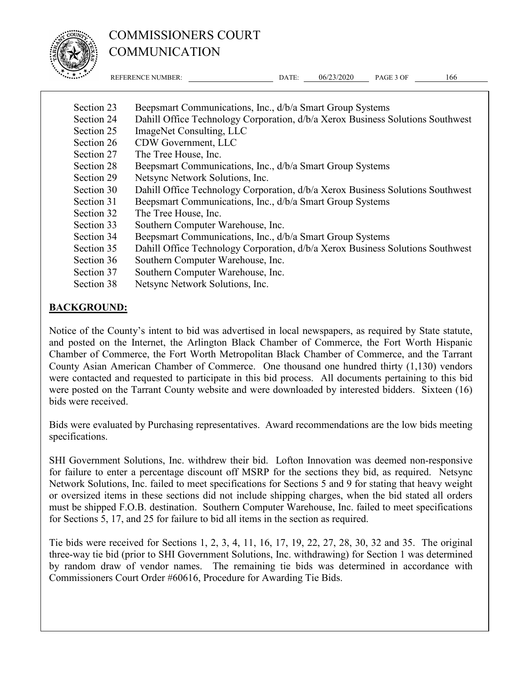

REFERENCE NUMBER: DATE: 06/23/2020 PAGE 3 OF 166

| Beepsmart Communications, Inc., d/b/a Smart Group Systems                      |  |  |
|--------------------------------------------------------------------------------|--|--|
| Dahill Office Technology Corporation, d/b/a Xerox Business Solutions Southwest |  |  |
| ImageNet Consulting, LLC                                                       |  |  |
| CDW Government, LLC                                                            |  |  |
| The Tree House, Inc.                                                           |  |  |
| Beepsmart Communications, Inc., d/b/a Smart Group Systems                      |  |  |
| Netsync Network Solutions, Inc.                                                |  |  |
| Dahill Office Technology Corporation, d/b/a Xerox Business Solutions Southwest |  |  |
| Beepsmart Communications, Inc., d/b/a Smart Group Systems                      |  |  |
| The Tree House, Inc.                                                           |  |  |
| Southern Computer Warehouse, Inc.                                              |  |  |
| Beepsmart Communications, Inc., d/b/a Smart Group Systems                      |  |  |
| Dahill Office Technology Corporation, d/b/a Xerox Business Solutions Southwest |  |  |
| Southern Computer Warehouse, Inc.                                              |  |  |
| Southern Computer Warehouse, Inc.                                              |  |  |
| Netsync Network Solutions, Inc.                                                |  |  |
|                                                                                |  |  |

## **BACKGROUND:**

Notice of the County's intent to bid was advertised in local newspapers, as required by State statute, and posted on the Internet, the Arlington Black Chamber of Commerce, the Fort Worth Hispanic Chamber of Commerce, the Fort Worth Metropolitan Black Chamber of Commerce, and the Tarrant County Asian American Chamber of Commerce. One thousand one hundred thirty (1,130) vendors were contacted and requested to participate in this bid process. All documents pertaining to this bid were posted on the Tarrant County website and were downloaded by interested bidders. Sixteen (16) bids were received.

Bids were evaluated by Purchasing representatives. Award recommendations are the low bids meeting specifications.

SHI Government Solutions, Inc. withdrew their bid. Lofton Innovation was deemed non-responsive for failure to enter a percentage discount off MSRP for the sections they bid, as required. Netsync Network Solutions, Inc. failed to meet specifications for Sections 5 and 9 for stating that heavy weight or oversized items in these sections did not include shipping charges, when the bid stated all orders must be shipped F.O.B. destination. Southern Computer Warehouse, Inc. failed to meet specifications for Sections 5, 17, and 25 for failure to bid all items in the section as required.

Tie bids were received for Sections 1, 2, 3, 4, 11, 16, 17, 19, 22, 27, 28, 30, 32 and 35. The original three-way tie bid (prior to SHI Government Solutions, Inc. withdrawing) for Section 1 was determined by random draw of vendor names. The remaining tie bids was determined in accordance with Commissioners Court Order #60616, Procedure for Awarding Tie Bids.